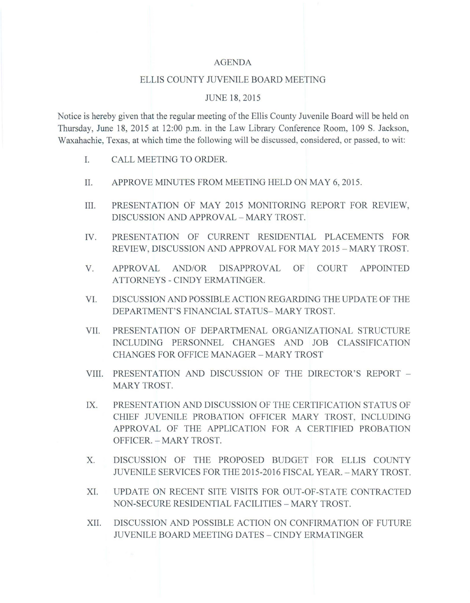#### AGENDA

## ELLIS COUNTY JUVENILE BOARD MEETING

#### JUNE 18,2015

Notice is hereby given that the regular meeting of the Ellis County Juvenile Board will be held on Thursday, June 18,2015 at 12:00 p.m. in the Law Library Conference Room, 109 S. Jackson, Waxahachie, Texas, at which time the following will be discussed, considered, or passed, to wit:

- I. CALL MEETING TO ORDER.
- II. APPROVE MINUTES FROM MEETING HELD ON MAY 6, 2015.
- **III.** PRESENTATION OF MAY 2015 MONITORING REPORT FOR REVIEW, DISCUSSION AND APPROVAL - MARY TROST.
- IV. PRESENTATION OF CURRENT RESIDENTIAL PLACEMENTS FOR REVIEW, DISCUSSION AND APPROVAL FOR MAY 2015 - MARY TROST.
- V. APPROVAL AND/OR DISAPPROVAL OF COURT APPOINTED ATTORNEYS - CINDY ERMATINGER.
- VI. DISCUSSION AND POSSIBLE ACTION REGARDING THE UPDATE OF THE DEPARTMENT'S FINANCIAL STATUS- MARY TROST.
- VII. PRESENTATION OF DEPARTMENAL ORGANIZATIONAL STRUCTURE INCLUDING PERSONNEL CHANGES AND JOB CLASSIFICATION CHANGES FOR OFFICE MANAGER - MARY TROST
- VIII. PRESENTATION AND DISCUSSION OF THE DIRECTOR'S REPORT -MARY TROST.
- IX. PRESENTATION AND DISCUSSION OF THE CERTIFICATION STATUS OF CHIEF JUVENILE PROBATION OFFICER MARY TROST, INCLUDING APPROVAL OF THE APPLICATION FOR A CERTIFIED PROBATION OFFICER. - MARY TROST.
- X. DISCUSSION OF THE PROPOSED BUDGET FOR ELLIS COUNTY JUVENILE SERVICES FOR THE 2015-2016 FISCAL YEAR. - MARY TROST.
- XI. UPDATE ON RECENT SITE VISITS FOR OUT -OF -STATE CONTRACTED NON-SECURE RESIDENTIAL FACILITIES - MARY TROST.
- XII. DISCUSSION AND POSSIBLE ACTION ON CONFIRMATION OF FUTURE JUVENILE BOARD MEETING DATES - CINDY ERMA TINGER